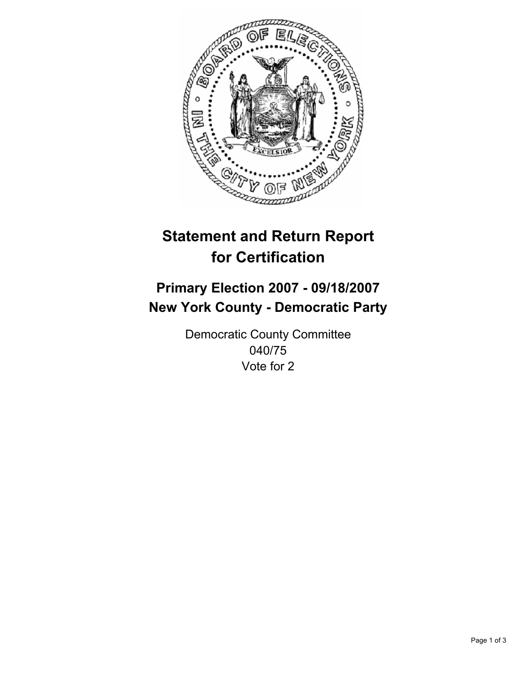

# **Statement and Return Report for Certification**

## **Primary Election 2007 - 09/18/2007 New York County - Democratic Party**

Democratic County Committee 040/75 Vote for 2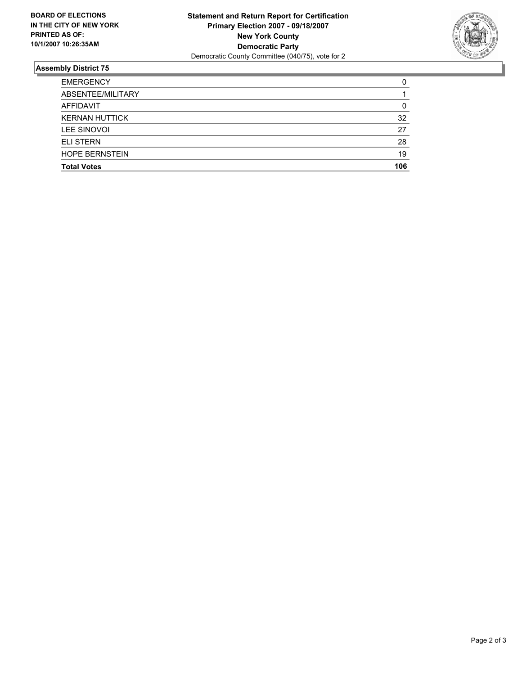

### **Assembly District 75**

| <b>EMERGENCY</b>      |     |
|-----------------------|-----|
| ABSENTEE/MILITARY     |     |
| AFFIDAVIT             | 0   |
| <b>KERNAN HUTTICK</b> | 32  |
| LEE SINOVOI           | 27  |
| <b>ELI STERN</b>      | 28  |
| <b>HOPE BERNSTEIN</b> | 19  |
| <b>Total Votes</b>    | 106 |